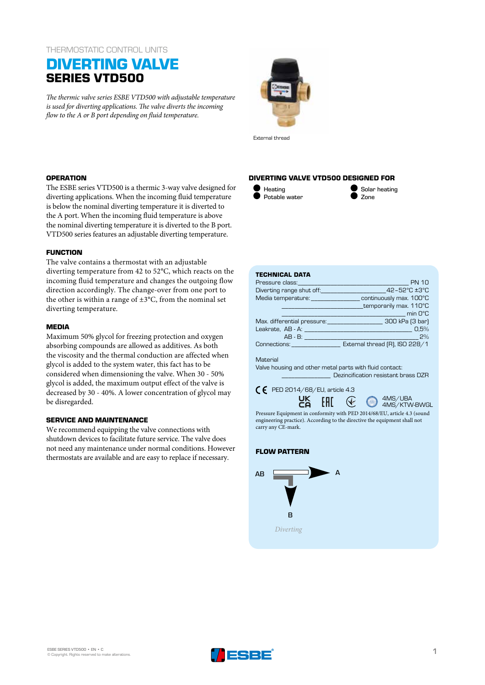## THERMOSTATIC CONTROL UNITS

# **DIVERTING VALVE SERIES VTD500**

*The thermic valve series ESBE VTD500 with adjustable temperature is used for diverting applications. The valve diverts the incoming flow to the A or B port depending on fluid temperature.*



External thread

## **OPERATION**

The ESBE series VTD500 is a thermic 3-way valve designed for diverting applications. When the incoming fluid temperature is below the nominal diverting temperature it is diverted to the A port. When the incoming fluid temperature is above the nominal diverting temperature it is diverted to the B port. VTD500 series features an adjustable diverting temperature.

## **FUNCTION**

The valve contains a thermostat with an adjustable diverting temperature from 42 to 52°C, which reacts on the incoming fluid temperature and changes the outgoing flow direction accordingly. The change-over from one port to the other is within a range of  $\pm 3^{\circ}$ C, from the nominal set diverting temperature.

### **MEDIA**

Maximum 50% glycol for freezing protection and oxygen absorbing compounds are allowed as additives. As both the viscosity and the thermal conduction are affected when glycol is added to the system water, this fact has to be considered when dimensioning the valve. When 30 - 50% glycol is added, the maximum output effect of the valve is decreased by 30 - 40%. A lower concentration of glycol may be disregarded.

## **SERVICE AND MAINTENANCE**

We recommend equipping the valve connections with shutdown devices to facilitate future service. The valve does not need any maintenance under normal conditions. However thermostats are available and are easy to replace if necessary.

## **DIVERTING VALVE VTD500 DESIGNED FOR**



Solar heating Zone

#### **TECHNICAL DATA**

| Pressure class:                 | <b>PN 10</b>                   |  |  |  |  |  |
|---------------------------------|--------------------------------|--|--|--|--|--|
| Diverting range shut off:       | 42-52°C ±3°C                   |  |  |  |  |  |
| Media temperature: ____________ | continuously max. 100°C        |  |  |  |  |  |
|                                 | temporarily max. 110°C         |  |  |  |  |  |
|                                 | <b>Example 1</b> min 0°C       |  |  |  |  |  |
| Max. differential pressure:     | 300 kPa (3 bar)                |  |  |  |  |  |
|                                 | 0.5%                           |  |  |  |  |  |
| $AB - B$ :                      | 2%                             |  |  |  |  |  |
| Connections: Connections:       | External thread (R), ISO 228/1 |  |  |  |  |  |

#### Material

Valve housing and other metal parts with fluid contact: \_\_\_\_\_\_\_\_\_\_\_\_\_\_\_ Dezincification resistant brass DZR





Pressure Equipment in conformity with PED 2014/68/EU, article 4.3 (sound engineering practice). According to the directive the equipment shall not carry any CE-mark.

# **FLOW PATTERN**